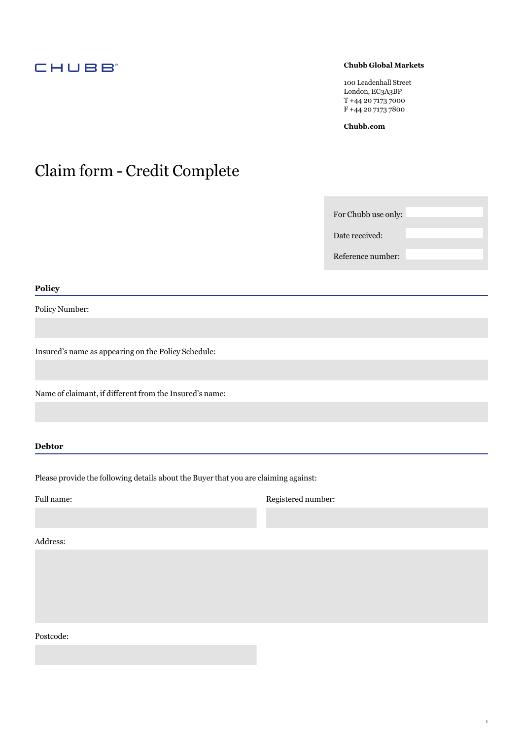# **CHUBB**

# **Chubb Global Markets**

100 Leadenhall Street London, EC3A3BP T +44 20 7173 7000 F +44 20 7173 7800

**[Chubb.com](https://Chubb.com)** 

# Claim form - Credit Complete

For Chubb use only:

Date received:

Reference number:

1

## **Policy**

Policy Number:

Insured's name as appearing on the Policy Schedule:

Name of claimant, if different from the Insured's name:

**Debtor** 

Please provide the following details about the Buyer that you are claiming against:

Full name: Registered number:

Address:

Postcode: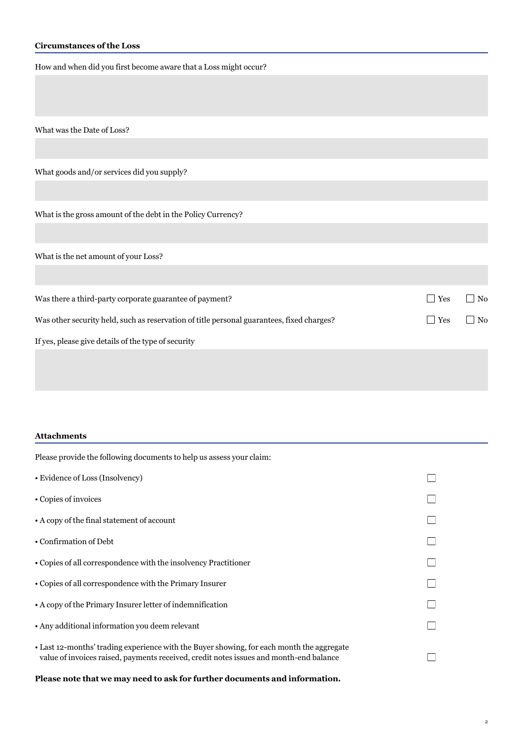# **Circumstances of the Loss**

How and when did you first become aware that a Loss might occur?

What was the Date of Loss?

What goods and/or services did you supply?

What is the gross amount of the debt in the Policy Currency?

What is the net amount of your Loss?

| Was there a third-party corporate guarantee of payment?                                   | <b>Yes</b>         | $\overline{\phantom{a}}$ No |
|-------------------------------------------------------------------------------------------|--------------------|-----------------------------|
| Was other security held, such as reservation of title personal guarantees, fixed charges? | $\blacksquare$ Yes | $\overline{\rm{No}}$        |
| If yes, please give details of the type of security                                       |                    |                             |
|                                                                                           |                    |                             |

#### **Attachments**

| Please provide the following documents to help us assess your claim:                                                                                                                |  |
|-------------------------------------------------------------------------------------------------------------------------------------------------------------------------------------|--|
| • Evidence of Loss (Insolvency)                                                                                                                                                     |  |
| • Copies of invoices                                                                                                                                                                |  |
| • A copy of the final statement of account                                                                                                                                          |  |
| • Confirmation of Debt                                                                                                                                                              |  |
| • Copies of all correspondence with the insolvency Practitioner                                                                                                                     |  |
| • Copies of all correspondence with the Primary Insurer                                                                                                                             |  |
| • A copy of the Primary Insurer letter of indemnification                                                                                                                           |  |
| • Any additional information you deem relevant                                                                                                                                      |  |
| • Last 12-months' trading experience with the Buyer showing, for each month the aggregate<br>value of invoices raised, payments received, credit notes issues and month-end balance |  |

**Please note that we may need to ask for further documents and information.**